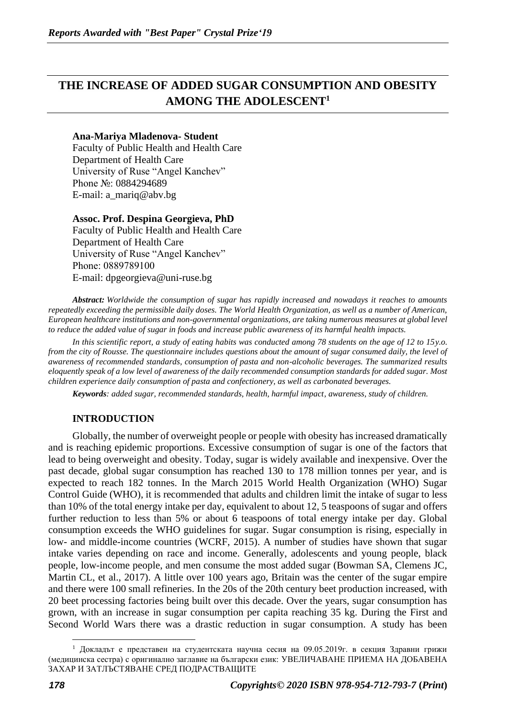# **THE INCREASE OF ADDED SUGAR CONSUMPTION AND OBESITY AMONG THE ADOLESCENT<sup>1</sup>**

#### **Ana-Mariya Mladenova- Student**

Faculty of Public Health and Health Care Department of Health Care University of Ruse "Angel Kanchev" Phone №: 0884294689 E-mail: [a\\_mariq@abv.bg](mailto:a_mariq@abv.bg)

#### **Assoc. Prof. Despina Georgieva, PhD**

Faculty of Public Health and Health Care Department of Health Care University of Ruse "Angel Kanchev" Phone: 0889789100 Е-mail: [dpgeorgieva@uni-ruse.bg](mailto:dpgeorgieva@uni-ruse.bg)

*Abstract: Worldwide the consumption of sugar has rapidly increased and nowadays it reaches to amounts repeatedly exceeding the permissible daily doses. The World Health Organization, as well as a number of American, European healthcare institutions and non-governmental organizations, are taking numerous measures at global level to reduce the added value of sugar in foods and increase public awareness of its harmful health impacts.*

*In this scientific report, a study of eating habits was conducted among 78 students on the age of 12 to 15y.o. from the city of Rousse. The questionnaire includes questions about the amount of sugar consumed daily, the level of awareness of recommended standards, consumption of pasta and non-alcoholic beverages. The summarized results eloquently speak of a low level of awareness of the daily recommended consumption standards for added sugar. Most children experience daily consumption of pasta and confectionery, as well as carbonated beverages.*

*Keywords: added sugar, recommended standards, health, harmful impact, awareness, study of children.*

### **INTRODUCTION**

Globally, the number of overweight people or people with obesity has increased dramatically and is reaching epidemic proportions. Excessive consumption of sugar is one of the factors that lead to being overweight and obesity. Today, sugar is widely available and inexpensive. Over the past decade, global sugar consumption has reached 130 to 178 million tonnes per year, and is expected to reach 182 tonnes. In the March 2015 World Health Organization (WHO) Sugar Control Guide (WHO), it is recommended that adults and children limit the intake of sugar to less than 10% of the total energy intake per day, equivalent to about 12, 5 teaspoons of sugar and offers further reduction to less than 5% or about 6 teaspoons of total energy intake per day. Global consumption exceeds the WHO guidelines for sugar. Sugar consumption is rising, especially in low- and middle-income countries (WCRF, 2015). A number of studies have shown that sugar intake varies depending on race and income. Generally, adolescents and young people, black people, low-income people, and men consume the most added sugar (Bowman SA, Clemens JC, Martin CL, et al., 2017). A little over 100 years ago, Britain was the center of the sugar empire and there were 100 small refineries. In the 20s of the 20th century beet production increased, with 20 beet processing factories being built over this decade. Over the years, sugar consumption has grown, with an increase in sugar consumption per capita reaching 35 kg. During the First and Second World Wars there was a drastic reduction in sugar consumption. A study has been

<sup>&</sup>lt;sup>1</sup> Докладът е представен на студентската научна сесия на 09.05.2019г. в секция Здравни грижи (медицинска сестра) с оригинално заглавие на български език: УВЕЛИЧАВАНЕ ПРИЕМА НА ДОБАВЕНА ЗАХАР И ЗАТЛЪСТЯВАНЕ СРЕД ПОДРАСТВАЩИТЕ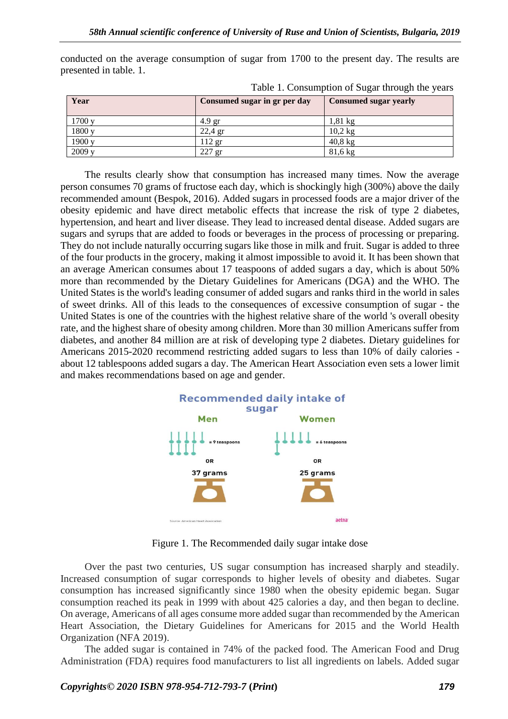| Year   | Consumed sugar in gr per day | <b>Consumed sugar yearly</b> |
|--------|------------------------------|------------------------------|
| 1700v  | 4.9 <sub>gr</sub>            | $1,81 \text{ kg}$            |
| 1800 y | $22,4$ gr                    | $10.2 \text{ kg}$            |
| 1900 y | $112$ gr                     | $40,8$ kg                    |
| 2009y  | $227$ gr                     | $81,6 \text{ kg}$            |

conducted on the average consumption of sugar from 1700 to the present day. The results are presented in table. 1.

Table 1. Consumption of Sugar through the years

The results clearly show that consumption has increased many times. Now the average person consumes 70 grams of fructose each day, which is shockingly high (300%) above the daily recommended amount (Bespok, 2016). Added sugars in processed foods are a major driver of the obesity epidemic and have direct metabolic effects that increase the risk of type 2 diabetes, hypertension, and heart and liver disease. They lead to increased dental disease. Added sugars are sugars and syrups that are added to foods or beverages in the process of processing or preparing. They do not include naturally occurring sugars like those in milk and fruit. Sugar is added to three of the four products in the grocery, making it almost impossible to avoid it. It has been shown that an average American consumes about 17 teaspoons of added sugars a day, which is about 50% more than recommended by the Dietary Guidelines for Americans (DGA) and the WHO. The United States is the world's leading consumer of added sugars and ranks third in the world in sales of sweet drinks. All of this leads to the consequences of excessive consumption of sugar - the United States is one of the countries with the highest relative share of the world 's overall obesity rate, and the highest share of obesity among children. More than 30 million Americans suffer from diabetes, and another 84 million are at risk of developing type 2 diabetes. Dietary guidelines for Americans 2015-2020 recommend restricting added sugars to less than 10% of daily calories about 12 tablespoons added sugars a day. The American Heart Association even sets a lower limit and makes recommendations based on age and gender.



Figure 1. The Recommended daily sugar intake dose

Over the past two centuries, US sugar consumption has increased sharply and steadily. Increased consumption of sugar corresponds to higher levels of obesity and diabetes. Sugar consumption has increased significantly since 1980 when the obesity epidemic began. Sugar consumption reached its peak in 1999 with about 425 calories a day, and then began to decline. On average, Americans of all ages consume more added sugar than recommended by the American Heart Association, the Dietary Guidelines for Americans for 2015 and the World Health Organization (NFA 2019).

The added sugar is contained in 74% of the packed food. The American Food and Drug Administration (FDA) requires food manufacturers to list all ingredients on labels. Added sugar

*Copyrights© 2020 ISBN 978-954-712-793-7* **(***Print***)** *179*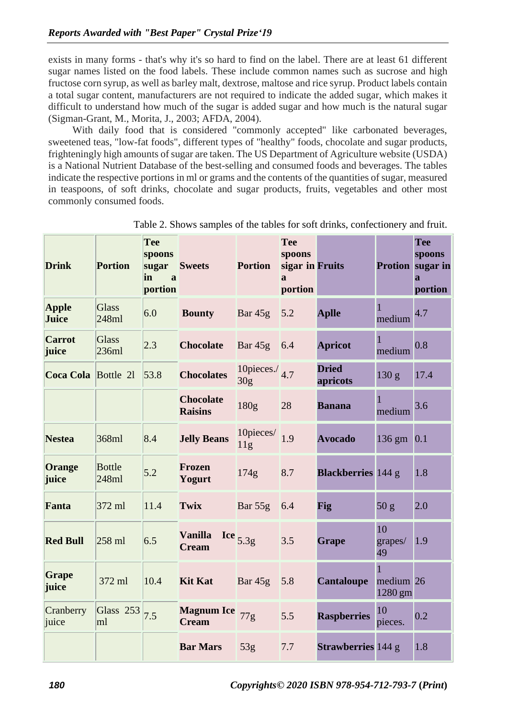exists in many forms - that's why it's so hard to find on the label. There are at least 61 different sugar names listed on the food labels. These include common names such as sucrose and high fructose corn syrup, as well as barley malt, dextrose, maltose and rice syrup. Product labels contain a total sugar content, manufacturers are not required to indicate the added sugar, which makes it difficult to understand how much of the sugar is added sugar and how much is the natural sugar (Sigman-Grant, M., Morita, J., 2003; AFDA, 2004).

With daily food that is considered "commonly accepted" like carbonated beverages, sweetened teas, "low-fat foods", different types of "healthy" foods, chocolate and sugar products, frighteningly high amounts of sugar are taken. The US Department of Agriculture website (USDA) is a National Nutrient Database of the best-selling and consumed foods and beverages. The tables indicate the respective portions in ml or grams and the contents of the quantities of sugar, measured in teaspoons, of soft drinks, chocolate and sugar products, fruits, vegetables and other most commonly consumed foods.

| <b>Drink</b>           | <b>Portion</b>         | <b>Tee</b><br>spoons<br>sugar<br>in<br>$\mathbf{a}$<br>portion | <b>Sweets</b>                         | <b>Portion</b>                       | <b>Tee</b><br>spoons<br>sigar in Fruits<br>$\mathbf{a}$<br>portion |                           |                                      | <b>Tee</b><br>spoons<br>Protion sugar in<br>a<br>portion |
|------------------------|------------------------|----------------------------------------------------------------|---------------------------------------|--------------------------------------|--------------------------------------------------------------------|---------------------------|--------------------------------------|----------------------------------------------------------|
| <b>Apple</b><br>Juice  | <b>Glass</b><br>248ml  | 6.0                                                            | <b>Bounty</b>                         | Bar $45g$                            | 5.2                                                                | <b>Aplle</b>              | 1<br>medium                          | 4.7                                                      |
| <b>Carrot</b><br>juice | <b>Glass</b><br>236ml  | 2.3                                                            | <b>Chocolate</b>                      | Bar 45g 6.4                          |                                                                    | <b>Apricot</b>            | 1<br>medium                          | 0.8                                                      |
| Coca Cola Bottle 21    |                        | 53.8                                                           | <b>Chocolates</b>                     | 10 pieces./ $4.7$<br>30 <sub>g</sub> |                                                                    | <b>Dried</b><br>apricots  | 130 g                                | 17.4                                                     |
|                        |                        |                                                                | <b>Chocolate</b><br><b>Raisins</b>    | 180g                                 | 28                                                                 | <b>Banana</b>             | 1<br>medium                          | 3.6                                                      |
| <b>Nestea</b>          | 368ml                  | 8.4                                                            | <b>Jelly Beans</b>                    | 10 pieces $1.9$<br>11g               |                                                                    | <b>Avocado</b>            | $136$ gm $0.1$                       |                                                          |
| Orange<br>juice        | <b>Bottle</b><br>248ml | 5.2                                                            | Frozen<br>Yogurt                      | 174g                                 | 8.7                                                                | <b>Blackberries</b> 144 g |                                      | 1.8                                                      |
| Fanta                  | 372 ml                 | 11.4                                                           | Twix                                  | Bar 55g 6.4                          |                                                                    | Fig                       | 50 g                                 | 2.0                                                      |
| <b>Red Bull</b>        | $258$ ml               | 6.5                                                            | <b>Vanilla</b><br><b>Cream</b>        | Ice $5.3g$                           | 3.5                                                                | <b>Grape</b>              | 10<br>grapes/<br>49                  | 1.9                                                      |
| <b>Grape</b><br>juice  | 372 ml                 | 10.4                                                           | <b>Kit Kat</b>                        | Bar 45g 5.8                          |                                                                    | <b>Cantaloupe</b>         | $\mathbf{1}$<br>medium 26<br>1280 gm |                                                          |
| Cranberry<br>juice     | Glass 253<br>ml        | 7.5                                                            | <b>Magnum Ice</b> 77g<br><b>Cream</b> |                                      | 5.5                                                                | <b>Raspberries</b>        | 10<br>pieces.                        | 0.2                                                      |
|                        |                        |                                                                | <b>Bar Mars</b>                       | 53g                                  | 7.7                                                                | <b>Strawberries</b> 144 g |                                      | 1.8                                                      |

Table 2. Shows samples of the tables for soft drinks, confectionery and fruit.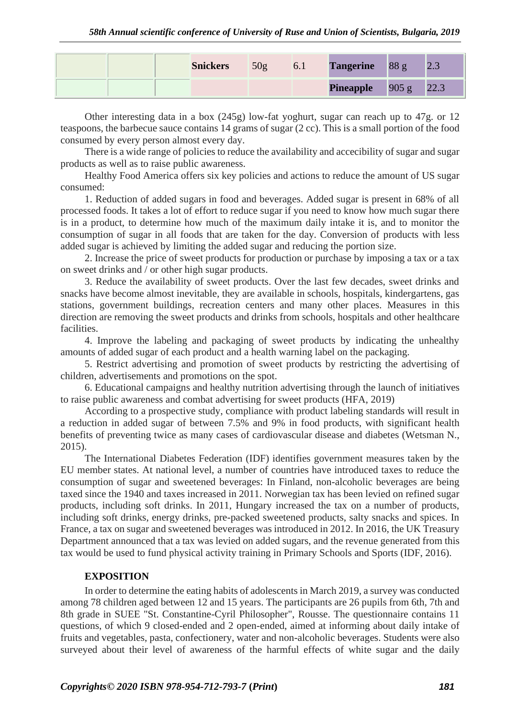|  | <b>Snickers</b> | 50 <sub>g</sub> | 6.1 | <b>Tangerine</b> | 88 g           | 2.J  |
|--|-----------------|-----------------|-----|------------------|----------------|------|
|  |                 |                 |     | <b>Pineapple</b> | $\sqrt{905}$ g | 22.3 |

Other interesting data in a box (245g) low-fat yoghurt, sugar can reach up to 47g. or 12 teaspoons, the barbecue sauce contains 14 grams of sugar (2 cc). This is a small portion of the food consumed by every person almost every day.

There is a wide range of policies to reduce the availability and accecibility of sugar and sugar products as well as to raise public awareness.

Healthy Food America offers six key policies and actions to reduce the amount of US sugar consumed:

1. Reduction of added sugars in food and beverages. Added sugar is present in 68% of all processed foods. It takes a lot of effort to reduce sugar if you need to know how much sugar there is in a product, to determine how much of the maximum daily intake it is, and to monitor the consumption of sugar in all foods that are taken for the day. Conversion of products with less added sugar is achieved by limiting the added sugar and reducing the portion size.

2. Increase the price of sweet products for production or purchase by imposing a tax or a tax on sweet drinks and / or other high sugar products.

3. Reduce the availability of sweet products. Over the last few decades, sweet drinks and snacks have become almost inevitable, they are available in schools, hospitals, kindergartens, gas stations, government buildings, recreation centers and many other places. Measures in this direction are removing the sweet products and drinks from schools, hospitals and other healthcare facilities.

4. Improve the labeling and packaging of sweet products by indicating the unhealthy amounts of added sugar of each product and a health warning label on the packaging.

5. Restrict advertising and promotion of sweet products by restricting the advertising of children, advertisements and promotions on the spot.

6. Educational campaigns and healthy nutrition advertising through the launch of initiatives to raise public awareness and combat advertising for sweet products (HFA, 2019)

According to a prospective study, compliance with product labeling standards will result in a reduction in added sugar of between 7.5% and 9% in food products, with significant health benefits of preventing twice as many cases of cardiovascular disease and diabetes (Wetsman N., 2015).

The International Diabetes Federation (IDF) identifies government measures taken by the EU member states. At national level, a number of countries have introduced taxes to reduce the consumption of sugar and sweetened beverages: In Finland, non-alcoholic beverages are being taxed since the 1940 and taxes increased in 2011. Norwegian tax has been levied on refined sugar products, including soft drinks. In 2011, Hungary increased the tax on a number of products, including soft drinks, energy drinks, pre-packed sweetened products, salty snacks and spices. In France, a tax on sugar and sweetened beverages was introduced in 2012. In 2016, the UK Treasury Department announced that a tax was levied on added sugars, and the revenue generated from this tax would be used to fund physical activity training in Primary Schools and Sports (IDF, 2016).

### **EXPOSITION**

In order to determine the eating habits of adolescents in March 2019, a survey was conducted among 78 children aged between 12 and 15 years. The participants are 26 pupils from 6th, 7th and 8th grade in SUEE "St. Constantine-Cyril Philosopher", Rousse. The questionnaire contains 11 questions, of which 9 closed-ended and 2 open-ended, aimed at informing about daily intake of fruits and vegetables, pasta, confectionery, water and non-alcoholic beverages. Students were also surveyed about their level of awareness of the harmful effects of white sugar and the daily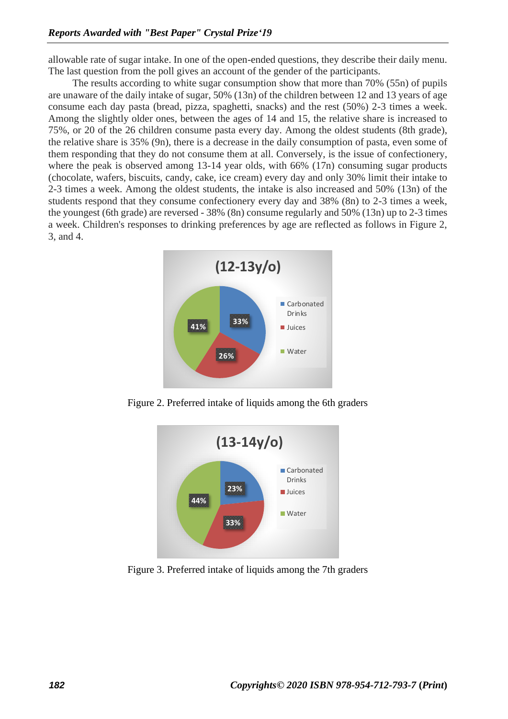allowable rate of sugar intake. In one of the open-ended questions, they describe their daily menu. The last question from the poll gives an account of the gender of the participants.

The results according to white sugar consumption show that more than 70% (55n) of pupils are unaware of the daily intake of sugar, 50% (13n) of the children between 12 and 13 years of age consume each day pasta (bread, pizza, spaghetti, snacks) and the rest (50%) 2-3 times a week. Among the slightly older ones, between the ages of 14 and 15, the relative share is increased to 75%, or 20 of the 26 children consume pasta every day. Among the oldest students (8th grade), the relative share is 35% (9n), there is a decrease in the daily consumption of pasta, even some of them responding that they do not consume them at all. Conversely, is the issue of confectionery, where the peak is observed among 13-14 year olds, with 66% (17n) consuming sugar products (chocolate, wafers, biscuits, candy, cake, ice cream) every day and only 30% limit their intake to 2-3 times a week. Among the oldest students, the intake is also increased and 50% (13n) of the students respond that they consume confectionery every day and 38% (8n) to 2-3 times a week, the youngest (6th grade) are reversed - 38% (8n) consume regularly and 50% (13n) up to 2-3 times a week. Children's responses to drinking preferences by age are reflected as follows in Figure 2, 3, and 4.



Figure 2. Preferred intake of liquids among the 6th graders



Figure 3. Preferred intake of liquids among the 7th graders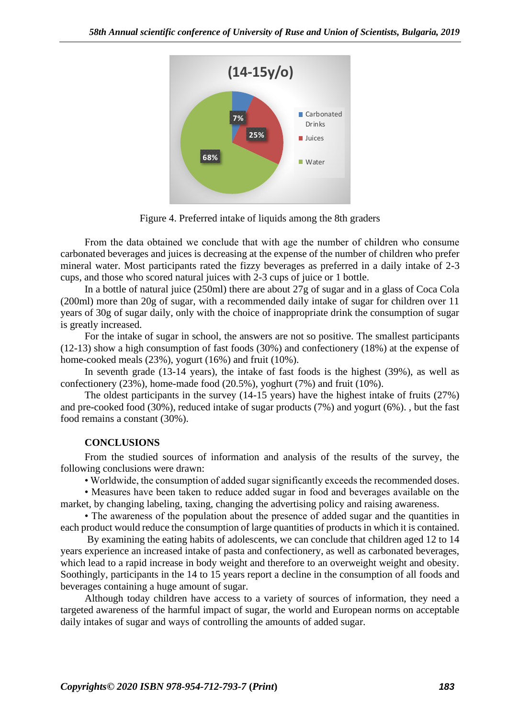

Figure 4. Preferred intake of liquids among the 8th graders

From the data obtained we conclude that with age the number of children who consumе carbonated beverages and juices is decreasing at the expense of the number of children who prefer mineral water. Most participants rated the fizzy beverages as preferred in a daily intake of 2-3 cups, and those who scored natural juices with 2-3 cups of juice or 1 bottle.

In a bottle of natural juice (250ml) there are about 27g of sugar and in a glass of Coca Cola (200ml) more than 20g of sugar, with a recommended daily intake of sugar for children over 11 years of 30g of sugar daily, only with the choice of inappropriate drink the consumption of sugar is greatly increased.

For the intake of sugar in school, the answers are not so positive. The smallest participants (12-13) show a high consumption of fast foods (30%) and confectionery (18%) at the expense of home-cooked meals (23%), yogurt (16%) and fruit (10%).

In seventh grade (13-14 years), the intake of fast foods is the highest (39%), as well as confectionery (23%), home-made food (20.5%), yoghurt (7%) and fruit (10%).

The oldest participants in the survey (14-15 years) have the highest intake of fruits (27%) and pre-cooked food (30%), reduced intake of sugar products (7%) and yogurt (6%). , but the fast food remains a constant (30%).

# **CONCLUSIONS**

From the studied sources of information and analysis of the results of the survey, the following conclusions were drawn:

• Worldwide, the consumption of added sugar significantly exceeds the recommended doses.

• Measures have been taken to reduce added sugar in food and beverages available on the market, by changing labeling, taxing, changing the advertising policy and raising awareness.

• The awareness of the population about the presence of added sugar and the quantities in each product would reduce the consumption of large quantities of products in which it is contained.

**COPY ASSESSMENT COPYRECT**<br> **COPYRECT COPYRECT CONSULTS AND THE COPYRECT CONSULTS AND THE CONSULTS (FOR THE COPYRECT COPYRECT COPYRECT COPYRECT CONSULTS (FOR THE COPYRECT COPYRECT CONSULTS) <b>COPY COPY COPY COPY COP** By examining the eating habits of adolescents, we can conclude that children aged 12 to 14 years experience an increased intake of pasta and confectionery, as well as carbonated beverages, which lead to a rapid increase in body weight and therefore to an overweight weight and obesity. Soothingly, participants in the 14 to 15 years report a decline in the consumption of all foods and beverages containing a huge amount of sugar.

Although today children have access to a variety of sources of information, they need a targeted awareness of the harmful impact of sugar, the world and European norms on acceptable daily intakes of sugar and ways of controlling the amounts of added sugar.